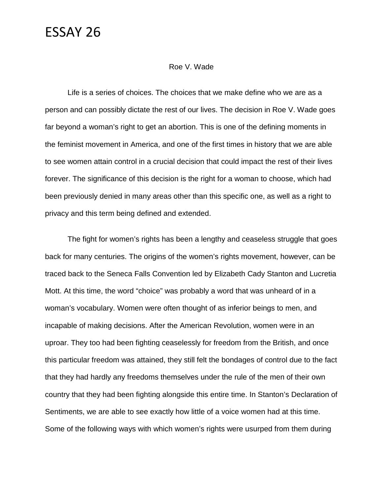#### Roe V. Wade

Life is a series of choices. The choices that we make define who we are as a person and can possibly dictate the rest of our lives. The decision in Roe V. Wade goes far beyond a woman's right to get an abortion. This is one of the defining moments in the feminist movement in America, and one of the first times in history that we are able to see women attain control in a crucial decision that could impact the rest of their lives forever. The significance of this decision is the right for a woman to choose, which had been previously denied in many areas other than this specific one, as well as a right to privacy and this term being defined and extended.

The fight for women's rights has been a lengthy and ceaseless struggle that goes back for many centuries. The origins of the women's rights movement, however, can be traced back to the Seneca Falls Convention led by Elizabeth Cady Stanton and Lucretia Mott. At this time, the word "choice" was probably a word that was unheard of in a woman's vocabulary. Women were often thought of as inferior beings to men, and incapable of making decisions. After the American Revolution, women were in an uproar. They too had been fighting ceaselessly for freedom from the British, and once this particular freedom was attained, they still felt the bondages of control due to the fact that they had hardly any freedoms themselves under the rule of the men of their own country that they had been fighting alongside this entire time. In Stanton's Declaration of Sentiments, we are able to see exactly how little of a voice women had at this time. Some of the following ways with which women's rights were usurped from them during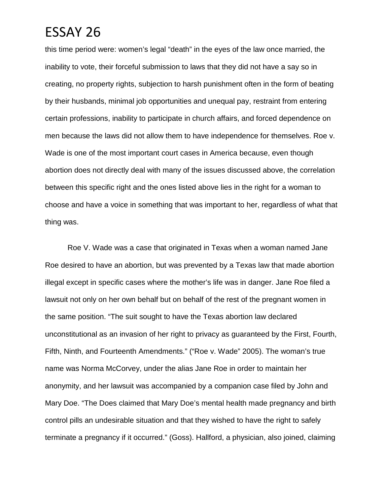this time period were: women's legal "death" in the eyes of the law once married, the inability to vote, their forceful submission to laws that they did not have a say so in creating, no property rights, subjection to harsh punishment often in the form of beating by their husbands, minimal job opportunities and unequal pay, restraint from entering certain professions, inability to participate in church affairs, and forced dependence on men because the laws did not allow them to have independence for themselves. Roe v. Wade is one of the most important court cases in America because, even though abortion does not directly deal with many of the issues discussed above, the correlation between this specific right and the ones listed above lies in the right for a woman to choose and have a voice in something that was important to her, regardless of what that thing was.

Roe V. Wade was a case that originated in Texas when a woman named Jane Roe desired to have an abortion, but was prevented by a Texas law that made abortion illegal except in specific cases where the mother's life was in danger. Jane Roe filed a lawsuit not only on her own behalf but on behalf of the rest of the pregnant women in the same position. "The suit sought to have the Texas abortion law declared unconstitutional as an invasion of her right to privacy as guaranteed by the First, Fourth, Fifth, Ninth, and Fourteenth Amendments." ("Roe v. Wade" 2005). The woman's true name was Norma McCorvey, under the alias Jane Roe in order to maintain her anonymity, and her lawsuit was accompanied by a companion case filed by John and Mary Doe. "The Does claimed that Mary Doe's mental health made pregnancy and birth control pills an undesirable situation and that they wished to have the right to safely terminate a pregnancy if it occurred." (Goss). Hallford, a physician, also joined, claiming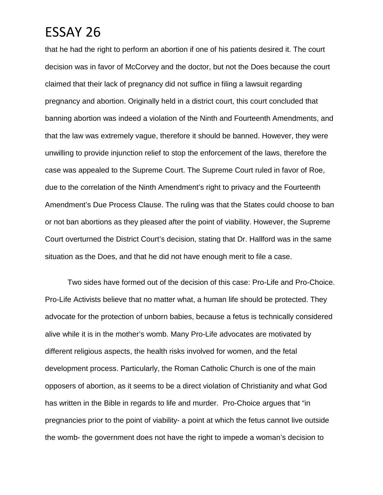that he had the right to perform an abortion if one of his patients desired it. The court decision was in favor of McCorvey and the doctor, but not the Does because the court claimed that their lack of pregnancy did not suffice in filing a lawsuit regarding pregnancy and abortion. Originally held in a district court, this court concluded that banning abortion was indeed a violation of the Ninth and Fourteenth Amendments, and that the law was extremely vague, therefore it should be banned. However, they were unwilling to provide injunction relief to stop the enforcement of the laws, therefore the case was appealed to the Supreme Court. The Supreme Court ruled in favor of Roe, due to the correlation of the Ninth Amendment's right to privacy and the Fourteenth Amendment's Due Process Clause. The ruling was that the States could choose to ban or not ban abortions as they pleased after the point of viability. However, the Supreme Court overturned the District Court's decision, stating that Dr. Hallford was in the same situation as the Does, and that he did not have enough merit to file a case.

Two sides have formed out of the decision of this case: Pro-Life and Pro-Choice. Pro-Life Activists believe that no matter what, a human life should be protected. They advocate for the protection of unborn babies, because a fetus is technically considered alive while it is in the mother's womb. Many Pro-Life advocates are motivated by different religious aspects, the health risks involved for women, and the fetal development process. Particularly, the Roman Catholic Church is one of the main opposers of abortion, as it seems to be a direct violation of Christianity and what God has written in the Bible in regards to life and murder. Pro-Choice argues that "in pregnancies prior to the point of viability- a point at which the fetus cannot live outside the womb- the government does not have the right to impede a woman's decision to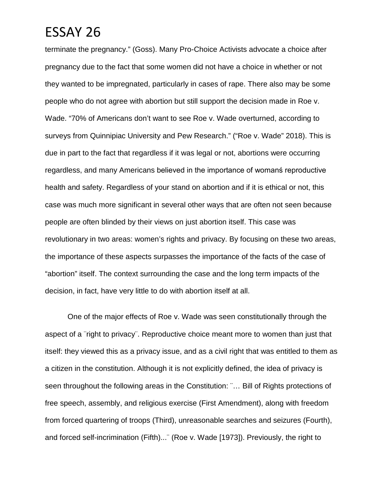terminate the pregnancy." (Goss). Many Pro-Choice Activists advocate a choice after pregnancy due to the fact that some women did not have a choice in whether or not they wanted to be impregnated, particularly in cases of rape. There also may be some people who do not agree with abortion but still support the decision made in Roe v. Wade. "70% of Americans don't want to see Roe v. Wade overturned, according to surveys from Quinnipiac University and Pew Research." ("Roe v. Wade" 2018). This is due in part to the fact that regardless if it was legal or not, abortions were occurring regardless, and many Americans believed in the importance of womanś reproductive health and safety. Regardless of your stand on abortion and if it is ethical or not, this case was much more significant in several other ways that are often not seen because people are often blinded by their views on just abortion itself. This case was revolutionary in two areas: women's rights and privacy. By focusing on these two areas, the importance of these aspects surpasses the importance of the facts of the case of "abortion" itself. The context surrounding the case and the long term impacts of the decision, in fact, have very little to do with abortion itself at all.

One of the major effects of Roe v. Wade was seen constitutionally through the aspect of a ¨right to privacy¨. Reproductive choice meant more to women than just that itself: they viewed this as a privacy issue, and as a civil right that was entitled to them as a citizen in the constitution. Although it is not explicitly defined, the idea of privacy is seen throughout the following areas in the Constitution: ¨… Bill of Rights protections of free speech, assembly, and religious exercise (First Amendment), along with freedom from forced quartering of troops (Third), unreasonable searches and seizures (Fourth), and forced self-incrimination (Fifth)...¨ (Roe v. Wade [1973]). Previously, the right to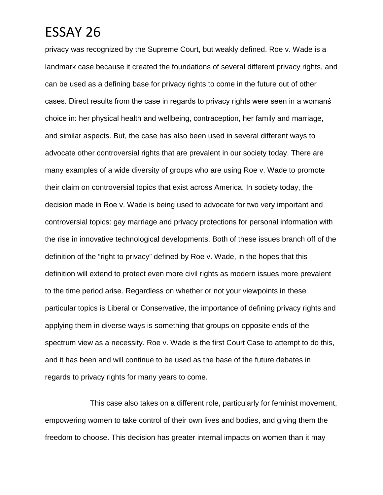privacy was recognized by the Supreme Court, but weakly defined. Roe v. Wade is a landmark case because it created the foundations of several different privacy rights, and can be used as a defining base for privacy rights to come in the future out of other cases. Direct results from the case in regards to privacy rights were seen in a womanś choice in: her physical health and wellbeing, contraception, her family and marriage, and similar aspects. But, the case has also been used in several different ways to advocate other controversial rights that are prevalent in our society today. There are many examples of a wide diversity of groups who are using Roe v. Wade to promote their claim on controversial topics that exist across America. In society today, the decision made in Roe v. Wade is being used to advocate for two very important and controversial topics: gay marriage and privacy protections for personal information with the rise in innovative technological developments. Both of these issues branch off of the definition of the "right to privacy" defined by Roe v. Wade, in the hopes that this definition will extend to protect even more civil rights as modern issues more prevalent to the time period arise. Regardless on whether or not your viewpoints in these particular topics is Liberal or Conservative, the importance of defining privacy rights and applying them in diverse ways is something that groups on opposite ends of the spectrum view as a necessity. Roe v. Wade is the first Court Case to attempt to do this, and it has been and will continue to be used as the base of the future debates in regards to privacy rights for many years to come.

This case also takes on a different role, particularly for feminist movement, empowering women to take control of their own lives and bodies, and giving them the freedom to choose. This decision has greater internal impacts on women than it may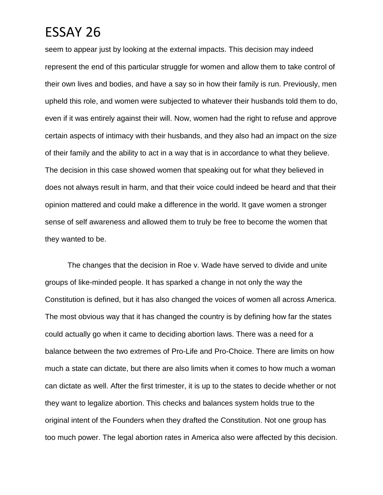seem to appear just by looking at the external impacts. This decision may indeed represent the end of this particular struggle for women and allow them to take control of their own lives and bodies, and have a say so in how their family is run. Previously, men upheld this role, and women were subjected to whatever their husbands told them to do, even if it was entirely against their will. Now, women had the right to refuse and approve certain aspects of intimacy with their husbands, and they also had an impact on the size of their family and the ability to act in a way that is in accordance to what they believe. The decision in this case showed women that speaking out for what they believed in does not always result in harm, and that their voice could indeed be heard and that their opinion mattered and could make a difference in the world. It gave women a stronger sense of self awareness and allowed them to truly be free to become the women that they wanted to be.

The changes that the decision in Roe v. Wade have served to divide and unite groups of like-minded people. It has sparked a change in not only the way the Constitution is defined, but it has also changed the voices of women all across America. The most obvious way that it has changed the country is by defining how far the states could actually go when it came to deciding abortion laws. There was a need for a balance between the two extremes of Pro-Life and Pro-Choice. There are limits on how much a state can dictate, but there are also limits when it comes to how much a woman can dictate as well. After the first trimester, it is up to the states to decide whether or not they want to legalize abortion. This checks and balances system holds true to the original intent of the Founders when they drafted the Constitution. Not one group has too much power. The legal abortion rates in America also were affected by this decision.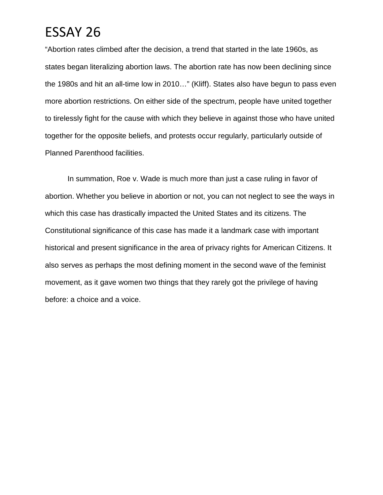"Abortion rates climbed after the decision, a trend that started in the late 1960s, as states began literalizing abortion laws. The abortion rate has now been declining since the 1980s and hit an all-time low in 2010…" (Kliff). States also have begun to pass even more abortion restrictions. On either side of the spectrum, people have united together to tirelessly fight for the cause with which they believe in against those who have united together for the opposite beliefs, and protests occur regularly, particularly outside of Planned Parenthood facilities.

In summation, Roe v. Wade is much more than just a case ruling in favor of abortion. Whether you believe in abortion or not, you can not neglect to see the ways in which this case has drastically impacted the United States and its citizens. The Constitutional significance of this case has made it a landmark case with important historical and present significance in the area of privacy rights for American Citizens. It also serves as perhaps the most defining moment in the second wave of the feminist movement, as it gave women two things that they rarely got the privilege of having before: a choice and a voice.